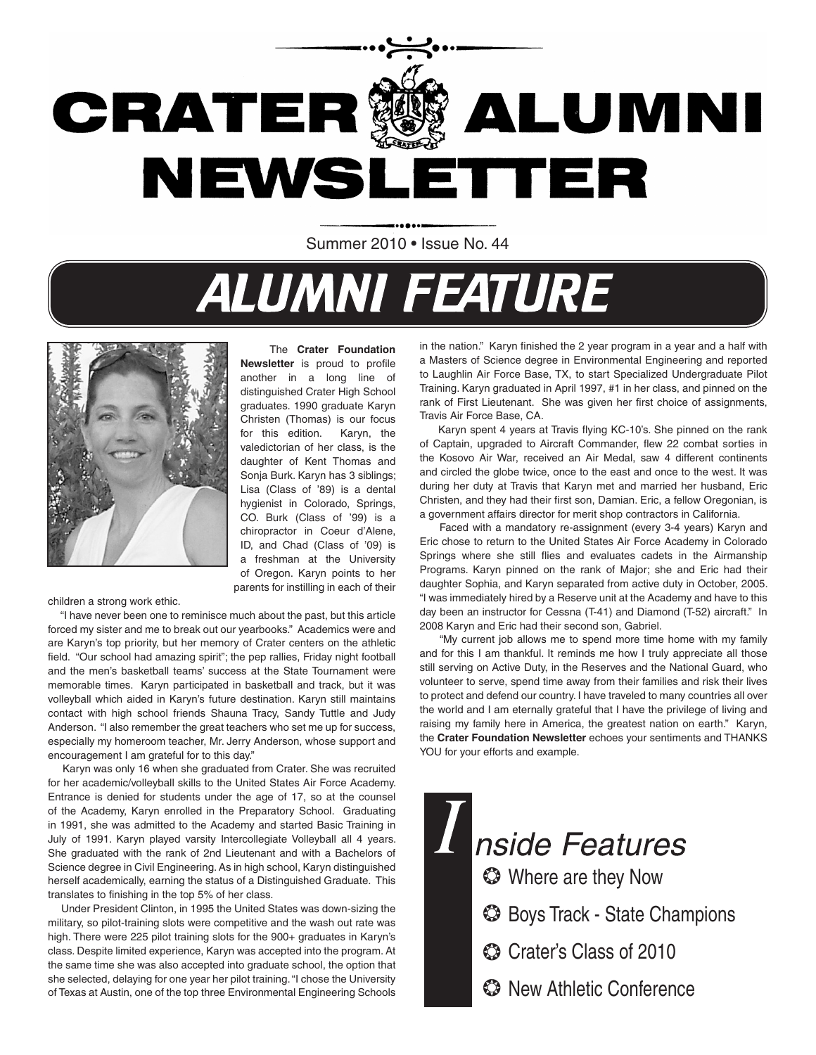

Summer 2010 • Issue No. 44

## **ALUMNI FEATURE**



 The **Crater Foundation Newsletter** is proud to profile another in a long line of distinguished Crater High School graduates. 1990 graduate Karyn Christen (Thomas) is our focus for this edition. Karyn, the valedictorian of her class, is the daughter of Kent Thomas and Sonja Burk. Karyn has 3 siblings; Lisa (Class of '89) is a dental hygienist in Colorado, Springs, CO. Burk (Class of '99) is a chiropractor in Coeur d'Alene, ID, and Chad (Class of '09) is a freshman at the University of Oregon. Karyn points to her parents for instilling in each of their

children a strong work ethic.

 "I have never been one to reminisce much about the past, but this article forced my sister and me to break out our yearbooks." Academics were and are Karyn's top priority, but her memory of Crater centers on the athletic field. "Our school had amazing spirit"; the pep rallies, Friday night football and the men's basketball teams' success at the State Tournament were memorable times. Karyn participated in basketball and track, but it was volleyball which aided in Karyn's future destination. Karyn still maintains contact with high school friends Shauna Tracy, Sandy Tuttle and Judy Anderson. "I also remember the great teachers who set me up for success, especially my homeroom teacher, Mr. Jerry Anderson, whose support and encouragement I am grateful for to this day."

 Karyn was only 16 when she graduated from Crater. She was recruited for her academic/volleyball skills to the United States Air Force Academy. Entrance is denied for students under the age of 17, so at the counsel of the Academy, Karyn enrolled in the Preparatory School. Graduating in 1991, she was admitted to the Academy and started Basic Training in July of 1991. Karyn played varsity Intercollegiate Volleyball all 4 years. She graduated with the rank of 2nd Lieutenant and with a Bachelors of Science degree in Civil Engineering. As in high school, Karyn distinguished herself academically, earning the status of a Distinguished Graduate. This translates to finishing in the top 5% of her class.

 Under President Clinton, in 1995 the United States was down-sizing the military, so pilot-training slots were competitive and the wash out rate was high. There were 225 pilot training slots for the 900+ graduates in Karyn's class. Despite limited experience, Karyn was accepted into the program. At the same time she was also accepted into graduate school, the option that she selected, delaying for one year her pilot training. "I chose the University of Texas at Austin, one of the top three Environmental Engineering Schools

in the nation." Karyn finished the 2 year program in a year and a half with a Masters of Science degree in Environmental Engineering and reported to Laughlin Air Force Base, TX, to start Specialized Undergraduate Pilot Training. Karyn graduated in April 1997, #1 in her class, and pinned on the rank of First Lieutenant. She was given her first choice of assignments, Travis Air Force Base, CA.

 Karyn spent 4 years at Travis flying KC-10's. She pinned on the rank of Captain, upgraded to Aircraft Commander, flew 22 combat sorties in the Kosovo Air War, received an Air Medal, saw 4 different continents and circled the globe twice, once to the east and once to the west. It was during her duty at Travis that Karyn met and married her husband, Eric Christen, and they had their first son, Damian. Eric, a fellow Oregonian, is a government affairs director for merit shop contractors in California.

 Faced with a mandatory re-assignment (every 3-4 years) Karyn and Eric chose to return to the United States Air Force Academy in Colorado Springs where she still flies and evaluates cadets in the Airmanship Programs. Karyn pinned on the rank of Major; she and Eric had their daughter Sophia, and Karyn separated from active duty in October, 2005. "I was immediately hired by a Reserve unit at the Academy and have to this day been an instructor for Cessna (T-41) and Diamond (T-52) aircraft." In 2008 Karyn and Eric had their second son, Gabriel.

 "My current job allows me to spend more time home with my family and for this I am thankful. It reminds me how I truly appreciate all those still serving on Active Duty, in the Reserves and the National Guard, who volunteer to serve, spend time away from their families and risk their lives to protect and defend our country. I have traveled to many countries all over the world and I am eternally grateful that I have the privilege of living and raising my family here in America, the greatest nation on earth." Karyn, the **Crater Foundation Newsletter** echoes your sentiments and THANKS YOU for your efforts and example.

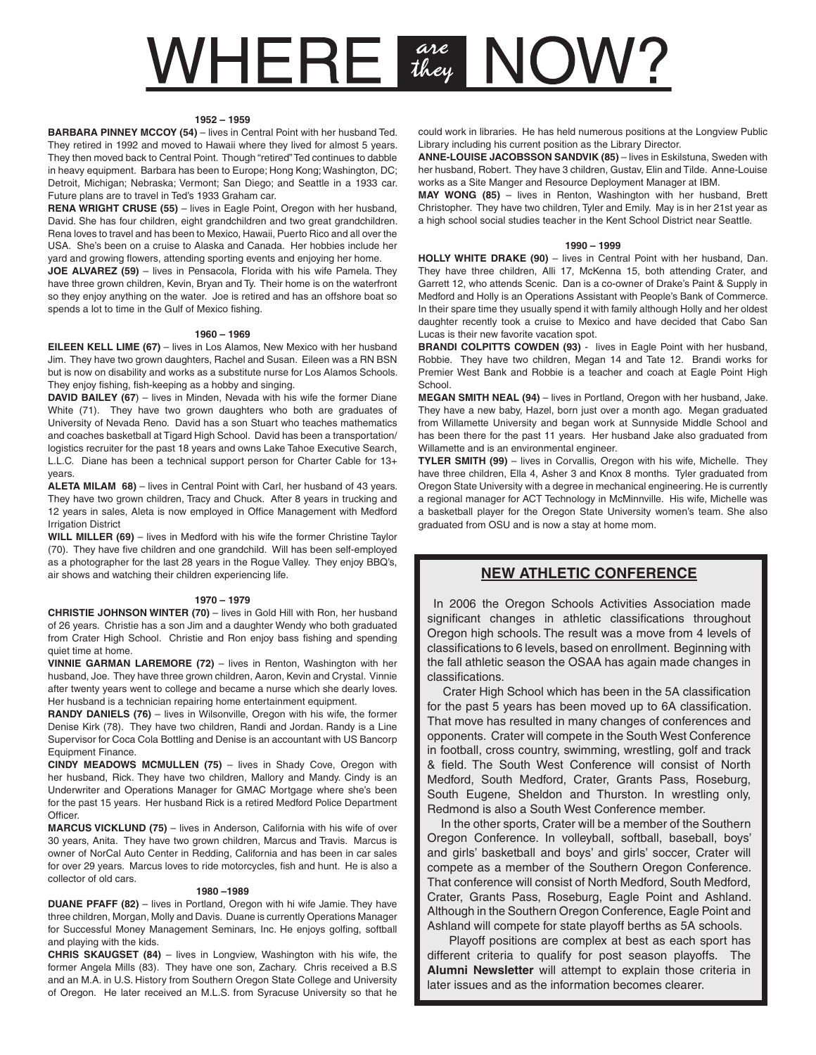# **NHERE** are NOW?

#### **1952 – 1959**

**BARBARA PINNEY MCCOY (54)** – lives in Central Point with her husband Ted. They retired in 1992 and moved to Hawaii where they lived for almost 5 years. They then moved back to Central Point. Though "retired" Ted continues to dabble in heavy equipment. Barbara has been to Europe; Hong Kong; Washington, DC; Detroit, Michigan; Nebraska; Vermont; San Diego; and Seattle in a 1933 car. Future plans are to travel in Ted's 1933 Graham car.

**RENA WRIGHT CRUSE (55)** – lives in Eagle Point, Oregon with her husband, David. She has four children, eight grandchildren and two great grandchildren. Rena loves to travel and has been to Mexico, Hawaii, Puerto Rico and all over the USA. She's been on a cruise to Alaska and Canada. Her hobbies include her yard and growing flowers, attending sporting events and enjoying her home.

**JOE ALVAREZ (59)** – lives in Pensacola, Florida with his wife Pamela. They have three grown children, Kevin, Bryan and Ty. Their home is on the waterfront so they enjoy anything on the water. Joe is retired and has an offshore boat so spends a lot to time in the Gulf of Mexico fishing.

#### **1960 – 1969**

**EILEEN KELL LIME (67)** – lives in Los Alamos, New Mexico with her husband Jim. They have two grown daughters, Rachel and Susan. Eileen was a RN BSN but is now on disability and works as a substitute nurse for Los Alamos Schools. They enjoy fishing, fish-keeping as a hobby and singing.

**DAVID BAILEY (67)** – lives in Minden, Nevada with his wife the former Diane White (71). They have two grown daughters who both are graduates of University of Nevada Reno. David has a son Stuart who teaches mathematics and coaches basketball at Tigard High School. David has been a transportation/ logistics recruiter for the past 18 years and owns Lake Tahoe Executive Search, L.L.C. Diane has been a technical support person for Charter Cable for 13+ years.

**ALETA MILAM 68)** – lives in Central Point with Carl, her husband of 43 years. They have two grown children, Tracy and Chuck. After 8 years in trucking and 12 years in sales, Aleta is now employed in Office Management with Medford **Irrigation District** 

**WILL MILLER (69)** – lives in Medford with his wife the former Christine Taylor (70). They have five children and one grandchild. Will has been self-employed as a photographer for the last 28 years in the Rogue Valley. They enjoy BBQ's, air shows and watching their children experiencing life.

#### **1970 – 1979**

**CHRISTIE JOHNSON WINTER (70)** – lives in Gold Hill with Ron, her husband of 26 years. Christie has a son Jim and a daughter Wendy who both graduated from Crater High School. Christie and Ron enjoy bass fishing and spending quiet time at home.

**VINNIE GARMAN LAREMORE (72)** – lives in Renton, Washington with her husband, Joe. They have three grown children, Aaron, Kevin and Crystal. Vinnie after twenty years went to college and became a nurse which she dearly loves. Her husband is a technician repairing home entertainment equipment.

**RANDY DANIELS (76)** – lives in Wilsonville, Oregon with his wife, the former Denise Kirk (78). They have two children, Randi and Jordan. Randy is a Line Supervisor for Coca Cola Bottling and Denise is an accountant with US Bancorp Equipment Finance.

**CINDY MEADOWS MCMULLEN (75)** – lives in Shady Cove, Oregon with her husband, Rick. They have two children, Mallory and Mandy. Cindy is an Underwriter and Operations Manager for GMAC Mortgage where she's been for the past 15 years. Her husband Rick is a retired Medford Police Department Officer.

**MARCUS VICKLUND (75)** – lives in Anderson, California with his wife of over 30 years, Anita. They have two grown children, Marcus and Travis. Marcus is owner of NorCal Auto Center in Redding, California and has been in car sales for over 29 years. Marcus loves to ride motorcycles, fish and hunt. He is also a collector of old cars.

#### **1980 –1989**

**DUANE PFAFF (82)** – lives in Portland, Oregon with hi wife Jamie. They have three children, Morgan, Molly and Davis. Duane is currently Operations Manager for Successful Money Management Seminars, Inc. He enjoys golfing, softball and playing with the kids.

**CHRIS SKAUGSET (84)** – lives in Longview, Washington with his wife, the former Angela Mills (83). They have one son, Zachary. Chris received a B.S and an M.A. in U.S. History from Southern Oregon State College and University of Oregon. He later received an M.L.S. from Syracuse University so that he

could work in libraries. He has held numerous positions at the Longview Public Library including his current position as the Library Director.

**ANNE-LOUISE JACOBSSON SANDVIK (85)** – lives in Eskilstuna, Sweden with her husband, Robert. They have 3 children, Gustav, Elin and Tilde. Anne-Louise works as a Site Manger and Resource Deployment Manager at IBM.

**MAY WONG (85)** – lives in Renton, Washington with her husband, Brett Christopher. They have two children, Tyler and Emily. May is in her 21st year as a high school social studies teacher in the Kent School District near Seattle.

#### **1990 – 1999**

**HOLLY WHITE DRAKE (90)** – lives in Central Point with her husband, Dan. They have three children, Alli 17, McKenna 15, both attending Crater, and Garrett 12, who attends Scenic. Dan is a co-owner of Drake's Paint & Supply in Medford and Holly is an Operations Assistant with People's Bank of Commerce. In their spare time they usually spend it with family although Holly and her oldest daughter recently took a cruise to Mexico and have decided that Cabo San Lucas is their new favorite vacation spot.

**BRANDI COLPITTS COWDEN (93)** - lives in Eagle Point with her husband, Robbie. They have two children, Megan 14 and Tate 12. Brandi works for Premier West Bank and Robbie is a teacher and coach at Eagle Point High School.

**MEGAN SMITH NEAL (94)** – lives in Portland, Oregon with her husband, Jake. They have a new baby, Hazel, born just over a month ago. Megan graduated from Willamette University and began work at Sunnyside Middle School and has been there for the past 11 years. Her husband Jake also graduated from Willamette and is an environmental engineer.

**TYLER SMITH (99)** – lives in Corvallis, Oregon with his wife, Michelle. They have three children, Ella 4, Asher 3 and Knox 8 months. Tyler graduated from Oregon State University with a degree in mechanical engineering. He is currently a regional manager for ACT Technology in McMinnville. His wife, Michelle was a basketball player for the Oregon State University women's team. She also graduated from OSU and is now a stay at home mom.

#### **NEW ATHLETIC CONFERENCE**

 In 2006 the Oregon Schools Activities Association made significant changes in athletic classifications throughout Oregon high schools. The result was a move from 4 levels of classifications to 6 levels, based on enrollment. Beginning with the fall athletic season the OSAA has again made changes in classifications.

 Crater High School which has been in the 5A classification for the past 5 years has been moved up to 6A classification. That move has resulted in many changes of conferences and opponents. Crater will compete in the South West Conference in football, cross country, swimming, wrestling, golf and track & field. The South West Conference will consist of North Medford, South Medford, Crater, Grants Pass, Roseburg, South Eugene, Sheldon and Thurston. In wrestling only, Redmond is also a South West Conference member.

 In the other sports, Crater will be a member of the Southern Oregon Conference. In volleyball, softball, baseball, boys' and girls' basketball and boys' and girls' soccer, Crater will compete as a member of the Southern Oregon Conference. That conference will consist of North Medford, South Medford, Crater, Grants Pass, Roseburg, Eagle Point and Ashland. Although in the Southern Oregon Conference, Eagle Point and Ashland will compete for state playoff berths as 5A schools.

 Playoff positions are complex at best as each sport has different criteria to qualify for post season playoffs. The **Alumni Newsletter** will attempt to explain those criteria in later issues and as the information becomes clearer.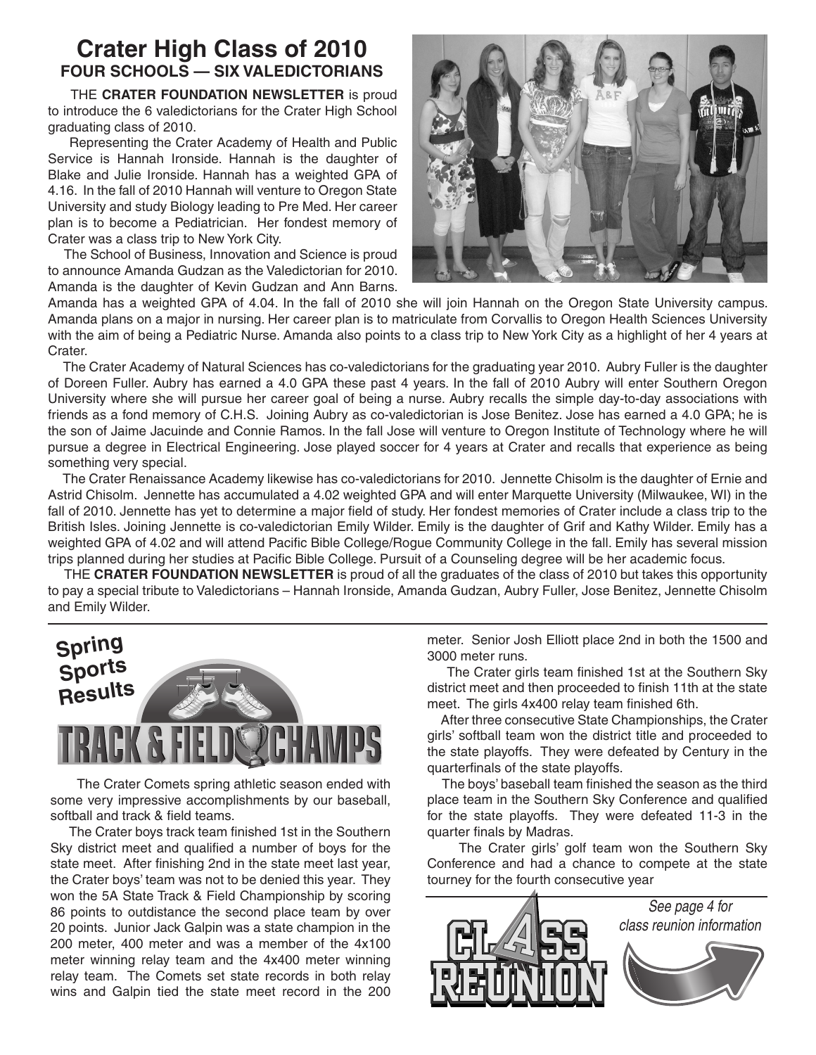## **Crater High Class of 2010 FOUR SCHOOLS — SIX VALEDICTORIANS**

THE **CRATER FOUNDATION NEWSLETTER** is proud to introduce the 6 valedictorians for the Crater High School graduating class of 2010.

 Representing the Crater Academy of Health and Public Service is Hannah Ironside. Hannah is the daughter of Blake and Julie Ironside. Hannah has a weighted GPA of 4.16. In the fall of 2010 Hannah will venture to Oregon State University and study Biology leading to Pre Med. Her career plan is to become a Pediatrician. Her fondest memory of Crater was a class trip to New York City.

 The School of Business, Innovation and Science is proud to announce Amanda Gudzan as the Valedictorian for 2010. Amanda is the daughter of Kevin Gudzan and Ann Barns.



Amanda has a weighted GPA of 4.04. In the fall of 2010 she will join Hannah on the Oregon State University campus. Amanda plans on a major in nursing. Her career plan is to matriculate from Corvallis to Oregon Health Sciences University with the aim of being a Pediatric Nurse. Amanda also points to a class trip to New York City as a highlight of her 4 years at Crater.

 The Crater Academy of Natural Sciences has co-valedictorians for the graduating year 2010. Aubry Fuller is the daughter of Doreen Fuller. Aubry has earned a 4.0 GPA these past 4 years. In the fall of 2010 Aubry will enter Southern Oregon University where she will pursue her career goal of being a nurse. Aubry recalls the simple day-to-day associations with friends as a fond memory of C.H.S. Joining Aubry as co-valedictorian is Jose Benitez. Jose has earned a 4.0 GPA; he is the son of Jaime Jacuinde and Connie Ramos. In the fall Jose will venture to Oregon Institute of Technology where he will pursue a degree in Electrical Engineering. Jose played soccer for 4 years at Crater and recalls that experience as being something very special.

 The Crater Renaissance Academy likewise has co-valedictorians for 2010. Jennette Chisolm is the daughter of Ernie and Astrid Chisolm. Jennette has accumulated a 4.02 weighted GPA and will enter Marquette University (Milwaukee, WI) in the fall of 2010. Jennette has yet to determine a major field of study. Her fondest memories of Crater include a class trip to the British Isles. Joining Jennette is co-valedictorian Emily Wilder. Emily is the daughter of Grif and Kathy Wilder. Emily has a weighted GPA of 4.02 and will attend Pacific Bible College/Rogue Community College in the fall. Emily has several mission trips planned during her studies at Pacific Bible College. Pursuit of a Counseling degree will be her academic focus.

 THE **CRATER FOUNDATION NEWSLETTER** is proud of all the graduates of the class of 2010 but takes this opportunity to pay a special tribute to Valedictorians – Hannah Ironside, Amanda Gudzan, Aubry Fuller, Jose Benitez, Jennette Chisolm and Emily Wilder.



The Crater Comets spring athletic season ended with some very impressive accomplishments by our baseball, softball and track & field teams.

 The Crater boys track team finished 1st in the Southern Sky district meet and qualified a number of boys for the state meet. After finishing 2nd in the state meet last year, the Crater boys' team was not to be denied this year. They won the 5A State Track & Field Championship by scoring 86 points to outdistance the second place team by over 20 points. Junior Jack Galpin was a state champion in the 200 meter, 400 meter and was a member of the 4x100 meter winning relay team and the 4x400 meter winning relay team. The Comets set state records in both relay wins and Galpin tied the state meet record in the 200 meter. Senior Josh Elliott place 2nd in both the 1500 and 3000 meter runs.

 The Crater girls team finished 1st at the Southern Sky district meet and then proceeded to finish 11th at the state meet. The girls 4x400 relay team finished 6th.

 After three consecutive State Championships, the Crater girls' softball team won the district title and proceeded to the state playoffs. They were defeated by Century in the quarterfinals of the state playoffs.

 The boys' baseball team finished the season as the third place team in the Southern Sky Conference and qualified for the state playoffs. They were defeated 11-3 in the quarter finals by Madras.

 The Crater girls' golf team won the Southern Sky Conference and had a chance to compete at the state tourney for the fourth consecutive year